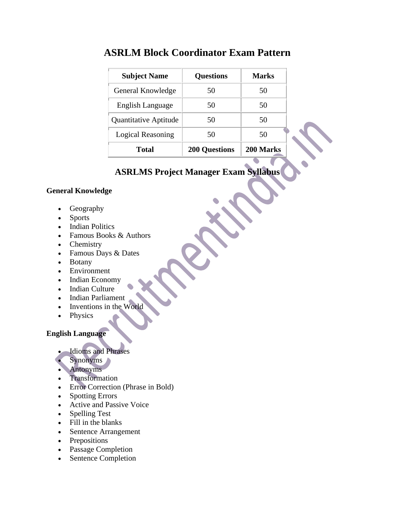| <b>Subject Name</b>   | <b>Questions</b>     | <b>Marks</b> |
|-----------------------|----------------------|--------------|
| General Knowledge     | 50                   | 50           |
| English Language      | 50                   | 50           |
| Quantitative Aptitude | 50                   | 50           |
| Logical Reasoning     | 50                   | 50           |
| Total                 | <b>200 Questions</b> | 200 Marks    |

## **ASRLM Block Coordinator Exam Pattern**

# **ASRLMS Project Manager Exam Syllabus**

#### **General Knowledge**

- Geography
- Sports
- Indian Politics
- Famous Books & Authors
- Chemistry
- Famous Days & Dates
- Botany
- Environment
- Indian Economy
- Indian Culture
- Indian Parliament
- Inventions in the World
- Physics

### **English Language**

- Idioms and Phrases
- Synonyms
- Antonyms
- Transformation
- Error Correction (Phrase in Bold)
- Spotting Errors
- Active and Passive Voice
- Spelling Test
- Fill in the blanks
- Sentence Arrangement
- Prepositions
- Passage Completion
- Sentence Completion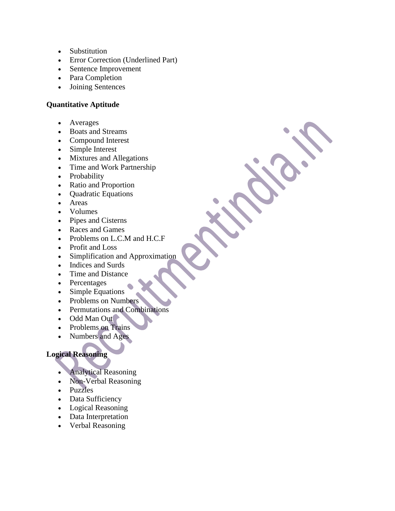- Substitution
- Error Correction (Underlined Part)
- Sentence Improvement
- Para Completion
- Joining Sentences

#### **Quantitative Aptitude**

- Averages
- Boats and Streams
- Compound Interest
- Simple Interest
- Mixtures and Allegations
- Time and Work Partnership
- Probability
- Ratio and Proportion
- Quadratic Equations
- Areas
- Volumes
- Pipes and Cisterns
- Races and Games
- Problems on L.C.M and H.C.F
- Profit and Loss
- Simplification and Approximation
- Indices and Surds
- Time and Distance
- Percentages
- Simple Equations
- Problems on Numbers
- Permutations and Combinations
- Odd Man Out
- Problems on Trains
- Numbers and Ages

### **Logical Reasoning**

- Analytical Reasoning
- Non-Verbal Reasoning
- Puzzles
- Data Sufficiency
- Logical Reasoning
- Data Interpretation
- Verbal Reasoning